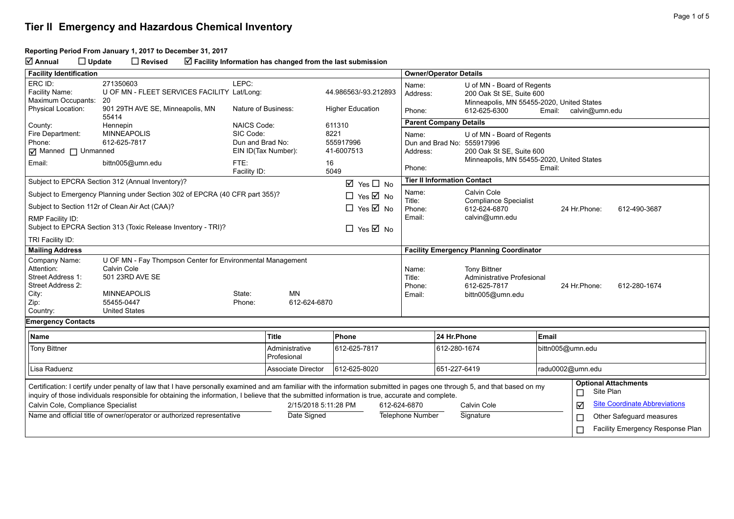#### **Reporting Period From January 1, 2017 to December 31, 2017**

**Annual Update Revised Facility Information has changed from the last submission**

| <b>Facility Identification</b>                                                                                                                                                                                                                                                                                                |                                                                                                                                                          |                      |                               |                                      |                         | <b>Owner/Operator Details</b>                                                                             |                                                                                                     |                          |                                          |  |
|-------------------------------------------------------------------------------------------------------------------------------------------------------------------------------------------------------------------------------------------------------------------------------------------------------------------------------|----------------------------------------------------------------------------------------------------------------------------------------------------------|----------------------|-------------------------------|--------------------------------------|-------------------------|-----------------------------------------------------------------------------------------------------------|-----------------------------------------------------------------------------------------------------|--------------------------|------------------------------------------|--|
| ERC ID:<br>Facility Name:<br>Maximum Occupants:                                                                                                                                                                                                                                                                               | 271350603<br>U OF MN - FLEET SERVICES FACILITY Lat/Long:<br>-20                                                                                          | LEPC:                |                               | 44.986563/-93.212893                 |                         | Name:<br>Address:                                                                                         | U of MN - Board of Regents<br>200 Oak St SE, Suite 600<br>Minneapolis, MN 55455-2020, United States |                          |                                          |  |
| <b>Physical Location:</b>                                                                                                                                                                                                                                                                                                     | 901 29TH AVE SE, Minneapolis, MN<br>55414                                                                                                                | Nature of Business:  |                               | <b>Higher Education</b>              |                         | Phone:                                                                                                    | 612-625-6300<br>Email: calvin@umn.edu                                                               |                          |                                          |  |
| County:                                                                                                                                                                                                                                                                                                                       | Hennepin                                                                                                                                                 | <b>NAICS Code:</b>   |                               | 611310                               |                         | <b>Parent Company Details</b>                                                                             |                                                                                                     |                          |                                          |  |
| Fire Department:<br>Phone:                                                                                                                                                                                                                                                                                                    | <b>MINNEAPOLIS</b><br>SIC Code:<br>612-625-7817<br>Dun and Brad No:<br>$\boxed{\mathbf{q}}$ Manned $\boxed{\mathbf{q}}$ Unmanned<br>EIN ID(Tax Number):  |                      |                               | 8221<br>555917996<br>41-6007513      |                         | U of MN - Board of Regents<br>Name:<br>Dun and Brad No: 555917996<br>200 Oak St SE, Suite 600<br>Address: |                                                                                                     |                          |                                          |  |
| Email:                                                                                                                                                                                                                                                                                                                        | bittn005@umn.edu                                                                                                                                         | FTE:<br>Facility ID: |                               | 16<br>5049                           |                         | Minneapolis, MN 55455-2020, United States<br>Phone:<br>Email:                                             |                                                                                                     |                          |                                          |  |
|                                                                                                                                                                                                                                                                                                                               | Subject to EPCRA Section 312 (Annual Inventory)?                                                                                                         |                      |                               | $\boxtimes$ Yes $\Box$ No            |                         | <b>Tier II Information Contact</b>                                                                        |                                                                                                     |                          |                                          |  |
|                                                                                                                                                                                                                                                                                                                               | Subject to Emergency Planning under Section 302 of EPCRA (40 CFR part 355)?                                                                              |                      |                               | $\Box$ Yes $\overline{\boxtimes}$ No |                         | Name:                                                                                                     | Calvin Cole                                                                                         |                          |                                          |  |
|                                                                                                                                                                                                                                                                                                                               | Subject to Section 112r of Clean Air Act (CAA)?                                                                                                          |                      |                               | $\Box$ Yes $\overline{\boxtimes}$ No |                         | Title:<br><b>Compliance Specialist</b><br>Phone:<br>612-624-6870                                          |                                                                                                     |                          | 24 Hr.Phone:<br>612-490-3687             |  |
| RMP Facility ID:<br>Subject to EPCRA Section 313 (Toxic Release Inventory - TRI)?<br>$\Box$ Yes $\overline{\boxtimes}$ No                                                                                                                                                                                                     |                                                                                                                                                          |                      |                               |                                      | Email:                  | calvin@umn.edu                                                                                            |                                                                                                     |                          |                                          |  |
| TRI Facility ID:                                                                                                                                                                                                                                                                                                              |                                                                                                                                                          |                      |                               |                                      |                         |                                                                                                           |                                                                                                     |                          |                                          |  |
| <b>Mailing Address</b>                                                                                                                                                                                                                                                                                                        |                                                                                                                                                          |                      |                               |                                      |                         | <b>Facility Emergency Planning Coordinator</b>                                                            |                                                                                                     |                          |                                          |  |
| Company Name:<br>Attention:<br>Street Address 1:<br>Street Address 2:<br>City:<br>Zip:<br>Country:                                                                                                                                                                                                                            | U OF MN - Fay Thompson Center for Environmental Management<br>Calvin Cole<br>501 23RD AVE SE<br><b>MINNEAPOLIS</b><br>55455-0447<br><b>United States</b> | State:<br>Phone:     | MN<br>612-624-6870            |                                      | Title:                  | Name:<br>Phone:<br>Email:                                                                                 | <b>Tony Bittner</b><br>Administrative Profesional<br>612-625-7817<br>bittn005@umn.edu               | 24 Hr. Phone:            | 612-280-1674                             |  |
| <b>Emergency Contacts</b>                                                                                                                                                                                                                                                                                                     |                                                                                                                                                          |                      |                               |                                      |                         |                                                                                                           |                                                                                                     |                          |                                          |  |
| Name                                                                                                                                                                                                                                                                                                                          |                                                                                                                                                          |                      | <b>Title</b>                  | Phone                                |                         | 24 Hr.Phone                                                                                               |                                                                                                     | Email                    |                                          |  |
| <b>Tony Bittner</b>                                                                                                                                                                                                                                                                                                           |                                                                                                                                                          |                      | Administrative<br>Profesional | 612-625-7817                         |                         | 612-280-1674                                                                                              |                                                                                                     | bittn005@umn.edu         |                                          |  |
| Lisa Raduenz                                                                                                                                                                                                                                                                                                                  |                                                                                                                                                          |                      | <b>Associate Director</b>     | 612-625-8020                         |                         | 651-227-6419                                                                                              |                                                                                                     | radu0002@umn.edu         |                                          |  |
| Certification: I certify under penalty of law that I have personally examined and am familiar with the information submitted in pages one through 5, and that based on my<br>inquiry of those individuals responsible for obtaining the information, I believe that the submitted information is true, accurate and complete. |                                                                                                                                                          |                      |                               |                                      |                         |                                                                                                           |                                                                                                     | □                        | <b>Optional Attachments</b><br>Site Plan |  |
| Calvin Cole, Compliance Specialist                                                                                                                                                                                                                                                                                            |                                                                                                                                                          |                      |                               | 2/15/2018 5:11:28 PM<br>612-624-6870 |                         |                                                                                                           | Calvin Cole                                                                                         | ☑                        | <b>Site Coordinate Abbreviations</b>     |  |
| Name and official title of owner/operator or authorized representative                                                                                                                                                                                                                                                        |                                                                                                                                                          | Date Signed          |                               |                                      | <b>Telephone Number</b> | Signature                                                                                                 | $\Box$                                                                                              | Other Safeguard measures |                                          |  |
|                                                                                                                                                                                                                                                                                                                               |                                                                                                                                                          |                      |                               |                                      |                         |                                                                                                           |                                                                                                     | ⊏                        | Facility Emergency Response Plan         |  |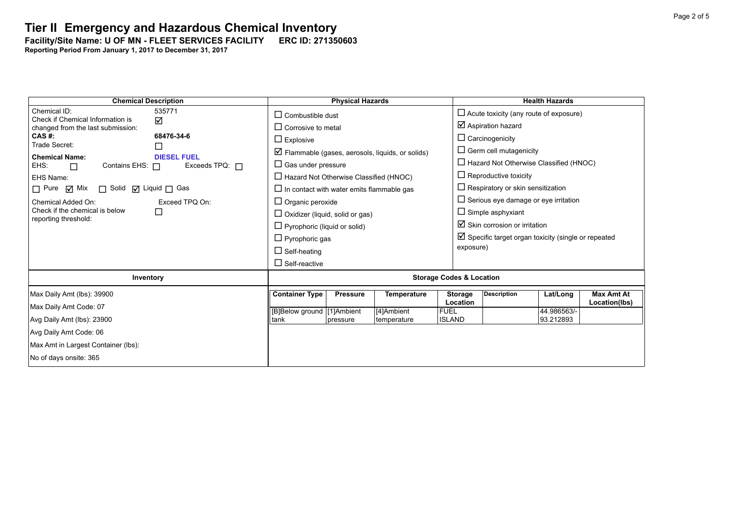**Facility/Site Name: U OF MN - FLEET SERVICES FACILITY-----ERC ID: 271350603**

| <b>Chemical Description</b>                                                                                  | <b>Physical Hazards</b>                                          | <b>Health Hazards</b>                                                 |  |  |  |  |
|--------------------------------------------------------------------------------------------------------------|------------------------------------------------------------------|-----------------------------------------------------------------------|--|--|--|--|
| Chemical ID:<br>535771<br>Check if Chemical Information is                                                   | $\Box$ Combustible dust                                          | $\Box$ Acute toxicity (any route of exposure)                         |  |  |  |  |
| $\Delta$<br>changed from the last submission:                                                                | $\Box$ Corrosive to metal                                        | $\boxtimes$ Aspiration hazard                                         |  |  |  |  |
| 68476-34-6<br>$CAS$ #:                                                                                       | $\Box$ Explosive                                                 | $\Box$ Carcinogenicity                                                |  |  |  |  |
| Trade Secret:<br>$\Box$                                                                                      | $\triangleright$ Flammable (gases, aerosols, liquids, or solids) | $\Box$ Germ cell mutagenicity                                         |  |  |  |  |
| <b>Chemical Name:</b><br><b>DIESEL FUEL</b><br>Contains EHS: $\Box$<br>Exceeds TPQ: $\Box$<br>EHS:<br>$\Box$ | $\Box$ Gas under pressure                                        | $\Box$ Hazard Not Otherwise Classified (HNOC)                         |  |  |  |  |
| EHS Name:                                                                                                    | $\Box$ Hazard Not Otherwise Classified (HNOC)                    | $\Box$ Reproductive toxicity                                          |  |  |  |  |
| $\Box$ Pure $\Box$ Mix<br>$\Box$ Solid $\Box$ Liquid $\Box$ Gas                                              | $\Box$ In contact with water emits flammable gas                 | $\Box$ Respiratory or skin sensitization                              |  |  |  |  |
| Exceed TPQ On:<br>Chemical Added On:                                                                         | $\Box$ Organic peroxide                                          | $\Box$ Serious eye damage or eye irritation                           |  |  |  |  |
| Check if the chemical is below<br>□<br>reporting threshold:                                                  | $\Box$ Oxidizer (liquid, solid or gas)                           | $\Box$ Simple asphyxiant                                              |  |  |  |  |
|                                                                                                              | $\Box$ Pyrophoric (liquid or solid)                              | $\boxtimes$ Skin corrosion or irritation                              |  |  |  |  |
|                                                                                                              | $\Box$ Pyrophoric gas                                            | $\triangleright$ Specific target organ toxicity (single or repeated   |  |  |  |  |
|                                                                                                              | $\Box$ Self-heating                                              | exposure)                                                             |  |  |  |  |
|                                                                                                              | $\Box$ Self-reactive                                             |                                                                       |  |  |  |  |
| Inventory                                                                                                    | <b>Storage Codes &amp; Location</b>                              |                                                                       |  |  |  |  |
| Max Daily Amt (lbs): 39900                                                                                   | <b>Container Type</b><br><b>Temperature</b><br><b>Pressure</b>   | <b>Description</b><br><b>Max Amt At</b><br><b>Storage</b><br>Lat/Long |  |  |  |  |
| Max Daily Amt Code: 07                                                                                       | [B]Below ground [1]Ambient<br>[4]Ambient<br><b>FUEL</b>          | Location<br>Location(lbs)<br>44.986563/-                              |  |  |  |  |
| Avg Daily Amt (lbs): 23900                                                                                   | tank<br>temperature<br>pressure                                  | <b>ISLAND</b><br>93.212893                                            |  |  |  |  |
| Avg Daily Amt Code: 06                                                                                       |                                                                  |                                                                       |  |  |  |  |
| Max Amt in Largest Container (lbs):                                                                          |                                                                  |                                                                       |  |  |  |  |
| No of days onsite: 365                                                                                       |                                                                  |                                                                       |  |  |  |  |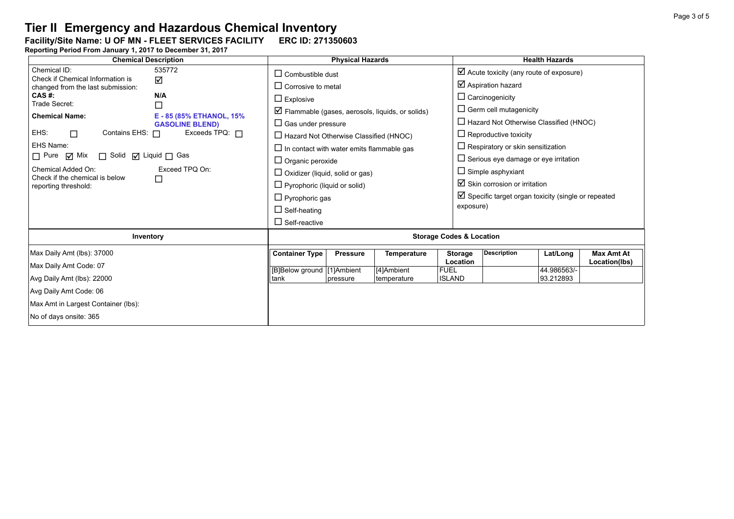**Facility/Site Name: U OF MN - FLEET SERVICES FACILITY-----ERC ID: 271350603**

| <b>Chemical Description</b>                                                                                                                                                                                      |                                                                                                  | <b>Physical Hazards</b>                                                                                                                                                                                                                                                                    |                 |                           | <b>Health Hazards</b>                                                     |                                                                                                                                                                                                                                                                                                                                 |                          |                                    |  |
|------------------------------------------------------------------------------------------------------------------------------------------------------------------------------------------------------------------|--------------------------------------------------------------------------------------------------|--------------------------------------------------------------------------------------------------------------------------------------------------------------------------------------------------------------------------------------------------------------------------------------------|-----------------|---------------------------|---------------------------------------------------------------------------|---------------------------------------------------------------------------------------------------------------------------------------------------------------------------------------------------------------------------------------------------------------------------------------------------------------------------------|--------------------------|------------------------------------|--|
| Chemical ID:<br>Check if Chemical Information is<br>changed from the last submission:                                                                                                                            | $\Box$ Combustible dust<br>$\Box$ Corrosive to metal                                             |                                                                                                                                                                                                                                                                                            |                 |                           | $\boxtimes$ Acute toxicity (any route of exposure)<br>☑ Aspiration hazard |                                                                                                                                                                                                                                                                                                                                 |                          |                                    |  |
| CAS #:<br>Trade Secret:                                                                                                                                                                                          | N/A<br>$\Box$                                                                                    | $\Box$ Explosive<br>$\triangledown$ Flammable (gases, aerosols, liquids, or solids)                                                                                                                                                                                                        |                 |                           |                                                                           | $\Box$ Carcinogenicity<br>$\Box$ Germ cell mutagenicity                                                                                                                                                                                                                                                                         |                          |                                    |  |
| <b>Chemical Name:</b><br>EHS:<br>Contains EHS: $\Box$<br>$\Box$<br>EHS Name:<br>$\Box$ Pure $\Box$ Mix<br>□ Solid □ Liquid □ Gas<br>Chemical Added On:<br>Check if the chemical is below<br>reporting threshold: | E - 85 (85% ETHANOL, 15%<br><b>GASOLINE BLEND)</b><br>Exceeds TPQ: $\Box$<br>Exceed TPQ On:<br>□ | $\Box$ Gas under pressure<br>$\Box$ Hazard Not Otherwise Classified (HNOC)<br>$\Box$ In contact with water emits flammable gas<br>$\Box$ Organic peroxide<br>$\Box$ Oxidizer (liquid, solid or gas)<br>$\Box$ Pyrophoric (liquid or solid)<br>$\Box$ Pyrophoric gas<br>$\Box$ Self-heating |                 |                           |                                                                           | $\Box$ Hazard Not Otherwise Classified (HNOC)<br>$\Box$ Reproductive toxicity<br>$\Box$ Respiratory or skin sensitization<br>$\Box$ Serious eye damage or eye irritation<br>$\Box$ Simple asphyxiant<br>$\boxtimes$ Skin corrosion or irritation<br>$\boxtimes$ Specific target organ toxicity (single or repeated<br>exposure) |                          |                                    |  |
|                                                                                                                                                                                                                  |                                                                                                  | $\Box$ Self-reactive                                                                                                                                                                                                                                                                       |                 |                           |                                                                           |                                                                                                                                                                                                                                                                                                                                 |                          |                                    |  |
| Inventory                                                                                                                                                                                                        | <b>Storage Codes &amp; Location</b>                                                              |                                                                                                                                                                                                                                                                                            |                 |                           |                                                                           |                                                                                                                                                                                                                                                                                                                                 |                          |                                    |  |
| Max Daily Amt (lbs): 37000<br>Max Daily Amt Code: 07                                                                                                                                                             |                                                                                                  | <b>Container Type</b>                                                                                                                                                                                                                                                                      | <b>Pressure</b> | Temperature               | <b>Storage</b><br>Location                                                | <b>Description</b>                                                                                                                                                                                                                                                                                                              | Lat/Long                 | <b>Max Amt At</b><br>Location(lbs) |  |
| Avg Daily Amt (lbs): 22000                                                                                                                                                                                       |                                                                                                  | [B]Below ground [1]Ambient<br>tank                                                                                                                                                                                                                                                         | pressure        | [4]Ambient<br>temperature | <b>FUEL</b><br><b>ISLAND</b>                                              |                                                                                                                                                                                                                                                                                                                                 | 44.986563/-<br>93.212893 |                                    |  |
| Avg Daily Amt Code: 06<br>Max Amt in Largest Container (lbs):                                                                                                                                                    |                                                                                                  |                                                                                                                                                                                                                                                                                            |                 |                           |                                                                           |                                                                                                                                                                                                                                                                                                                                 |                          |                                    |  |
| No of days onsite: 365                                                                                                                                                                                           |                                                                                                  |                                                                                                                                                                                                                                                                                            |                 |                           |                                                                           |                                                                                                                                                                                                                                                                                                                                 |                          |                                    |  |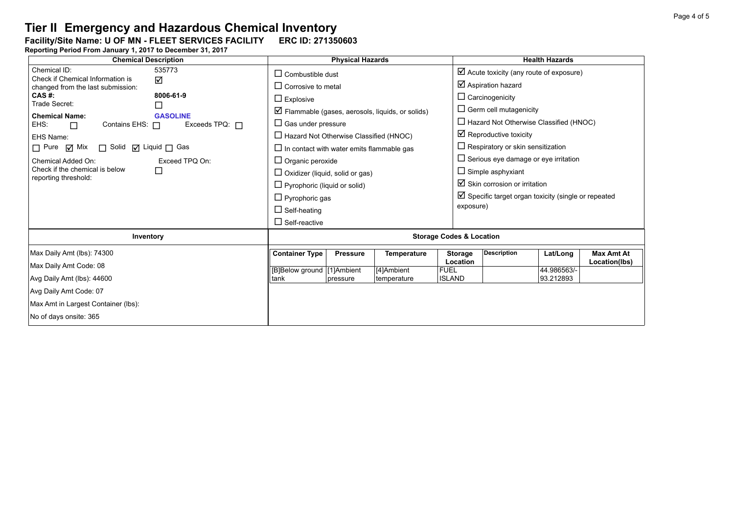**Facility/Site Name: U OF MN - FLEET SERVICES FACILITY-----ERC ID: 271350603**

| <b>Chemical Description</b>                                                                                                                                                                                                                                | <b>Physical Hazards</b>                                                         |                                                                                                                                                                                                                                                                                                                                                                                    |                 |                           | <b>Health Hazards</b>        |                                                                                                                                                                                                                                                                                                                                                                                                 |                          |                                    |  |
|------------------------------------------------------------------------------------------------------------------------------------------------------------------------------------------------------------------------------------------------------------|---------------------------------------------------------------------------------|------------------------------------------------------------------------------------------------------------------------------------------------------------------------------------------------------------------------------------------------------------------------------------------------------------------------------------------------------------------------------------|-----------------|---------------------------|------------------------------|-------------------------------------------------------------------------------------------------------------------------------------------------------------------------------------------------------------------------------------------------------------------------------------------------------------------------------------------------------------------------------------------------|--------------------------|------------------------------------|--|
| Chemical ID:<br>Check if Chemical Information is<br>changed from the last submission:                                                                                                                                                                      | 535773<br>☑                                                                     | $\Box$ Combustible dust<br>$\Box$ Corrosive to metal                                                                                                                                                                                                                                                                                                                               |                 |                           |                              | $\boxtimes$ Acute toxicity (any route of exposure)<br>$\boxtimes$ Aspiration hazard                                                                                                                                                                                                                                                                                                             |                          |                                    |  |
| CAS #:<br>Trade Secret:<br><b>Chemical Name:</b><br>EHS:<br>Contains EHS: $\Box$<br>$\Box$<br>EHS Name:<br>$\Box$ Pure $\Box$ Mix<br>$\Box$ Solid $\Box$ Liquid $\Box$ Gas<br>Chemical Added On:<br>Check if the chemical is below<br>reporting threshold: | 8006-61-9<br><b>GASOLINE</b><br>Exceeds TPQ: $\Box$<br>Exceed TPQ On:<br>$\Box$ | $\Box$ Explosive<br>$\triangleright$ Flammable (gases, aerosols, liquids, or solids)<br>$\Box$ Gas under pressure<br>$\Box$ Hazard Not Otherwise Classified (HNOC)<br>$\Box$ In contact with water emits flammable gas<br>$\Box$ Organic peroxide<br>$\Box$ Oxidizer (liquid, solid or gas)<br>$\Box$ Pyrophoric (liquid or solid)<br>$\Box$ Pyrophoric gas<br>$\Box$ Self-heating |                 |                           |                              | $\Box$ Carcinogenicity<br>$\Box$ Germ cell mutagenicity<br>$\Box$ Hazard Not Otherwise Classified (HNOC)<br>$\boxtimes$ Reproductive toxicity<br>$\Box$ Respiratory or skin sensitization<br>$\Box$ Serious eye damage or eye irritation<br>$\Box$ Simple asphyxiant<br>$\boxtimes$ Skin corrosion or irritation<br>$\boxtimes$ Specific target organ toxicity (single or repeated<br>exposure) |                          |                                    |  |
|                                                                                                                                                                                                                                                            |                                                                                 | $\Box$ Self-reactive                                                                                                                                                                                                                                                                                                                                                               |                 |                           |                              |                                                                                                                                                                                                                                                                                                                                                                                                 |                          |                                    |  |
| Inventory                                                                                                                                                                                                                                                  | <b>Storage Codes &amp; Location</b>                                             |                                                                                                                                                                                                                                                                                                                                                                                    |                 |                           |                              |                                                                                                                                                                                                                                                                                                                                                                                                 |                          |                                    |  |
| Max Daily Amt (lbs): 74300<br>Max Daily Amt Code: 08                                                                                                                                                                                                       |                                                                                 | <b>Container Type</b>                                                                                                                                                                                                                                                                                                                                                              | <b>Pressure</b> | <b>Temperature</b>        | <b>Storage</b><br>Location   | <b>Description</b>                                                                                                                                                                                                                                                                                                                                                                              | Lat/Long                 | <b>Max Amt At</b><br>Location(lbs) |  |
| Avg Daily Amt (lbs): 44600                                                                                                                                                                                                                                 |                                                                                 | [B]Below ground [1]Ambient<br>tank                                                                                                                                                                                                                                                                                                                                                 | pressure        | [4]Ambient<br>temperature | <b>FUEL</b><br><b>ISLAND</b> |                                                                                                                                                                                                                                                                                                                                                                                                 | 44.986563/-<br>93.212893 |                                    |  |
| Avg Daily Amt Code: 07<br>Max Amt in Largest Container (lbs):<br>No of days onsite: 365                                                                                                                                                                    |                                                                                 |                                                                                                                                                                                                                                                                                                                                                                                    |                 |                           |                              |                                                                                                                                                                                                                                                                                                                                                                                                 |                          |                                    |  |
|                                                                                                                                                                                                                                                            |                                                                                 |                                                                                                                                                                                                                                                                                                                                                                                    |                 |                           |                              |                                                                                                                                                                                                                                                                                                                                                                                                 |                          |                                    |  |